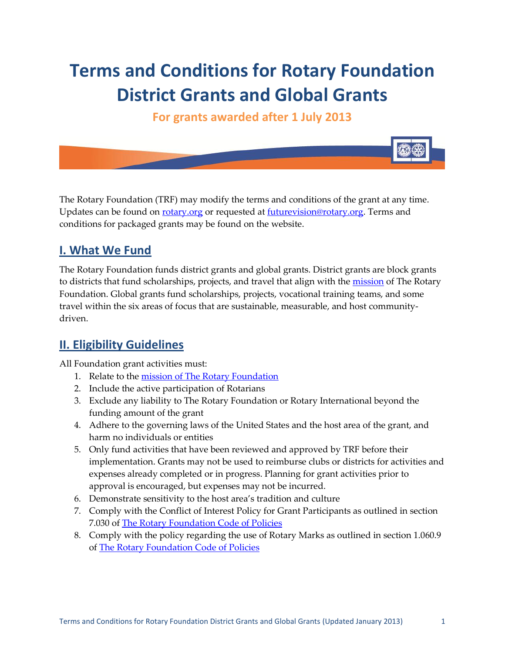# **Terms and Conditions for Rotary Foundation District Grants and Global Grants**

**For grants awarded after 1 July 2013**

The Rotary Foundation (TRF) may modify the terms and conditions of the grant at any time. Updates can be found on [rotary.org](http://www.rotary.org/) or requested at [futurevision@rotary.org.](mailto:futurevision@rotary.org) Terms and conditions for packaged grants may be found on the website.

# **I. What We Fund**

The Rotary Foundation funds district grants and global grants. District grants are block grants to districts that fund scholarships, projects, and travel that align with the [mission](http://www.rotary.org/en/AboutUs/TheRotaryFoundation/Pages/ridefault.aspx) of The Rotary Foundation. Global grants fund scholarships, projects, vocational training teams, and some travel within the six areas of focus that are sustainable, measurable, and host communitydriven.

### **II. Eligibility Guidelines**

All Foundation grant activities must:

- 1. Relate to the [mission of The Rotary Foundation](http://www.rotary.org/en/AboutUs/TheRotaryFoundation/Pages/ridefault.aspx)
- 2. Include the active participation of Rotarians
- 3. Exclude any liability to The Rotary Foundation or Rotary International beyond the funding amount of the grant
- 4. Adhere to the governing laws of the United States and the host area of the grant, and harm no individuals or entities
- 5. Only fund activities that have been reviewed and approved by TRF before their implementation. Grants may not be used to reimburse clubs or districts for activities and expenses already completed or in progress. Planning for grant activities prior to approval is encouraged, but expenses may not be incurred.
- 6. Demonstrate sensitivity to the host area's tradition and culture
- 7. Comply with the Conflict of Interest Policy for Grant Participants as outlined in section 7.030 of [The Rotary Foundation Code of Policies](http://www.rotary.org/RIdocuments/en_pdf/trf_code.pdf)
- 8. Comply with the policy regarding the use of Rotary Marks as outlined in section 1.060.9 of [The Rotary Foundation Code of Policies](http://www.rotary.org/RIdocuments/en_pdf/trf_code.pdf)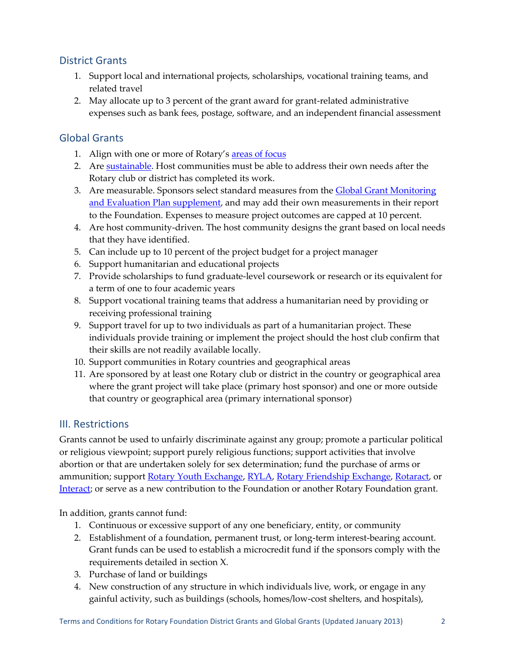### District Grants

- 1. Support local and international projects, scholarships, vocational training teams, and related travel
- 2. May allocate up to 3 percent of the grant award for grant-related administrative expenses such as bank fees, postage, software, and an independent financial assessment

### Global Grants

- 1. Align with one or more of Rotary's [areas of focus](http://www.rotary.org/RIdocuments/en_pdf/fv_area_of_focus_policy_statements_en.pdf)
- 2. Are [sustainable.](http://www.rotary.org/RIdocuments/en_pdf/grant_management_manual_en.zip) Host communities must be able to address their own needs after the Rotary club or district has completed its work.
- 3. Are measurable. Sponsors select standard measures from the Global Grant Monitoring [and Evaluation Plan supplement,](http://www.rotary.org/RIdocuments/en_pdf/grant_management_manual_en.zip) and may add their own measurements in their report to the Foundation. Expenses to measure project outcomes are capped at 10 percent.
- 4. Are host community-driven. The host community designs the grant based on local needs that they have identified.
- 5. Can include up to 10 percent of the project budget for a project manager
- 6. Support humanitarian and educational projects
- 7. Provide scholarships to fund graduate-level coursework or research or its equivalent for a term of one to four academic years
- 8. Support vocational training teams that address a humanitarian need by providing or receiving professional training
- 9. Support travel for up to two individuals as part of a humanitarian project. These individuals provide training or implement the project should the host club confirm that their skills are not readily available locally.
- 10. Support communities in Rotary countries and geographical areas
- 11. Are sponsored by at least one Rotary club or district in the country or geographical area where the grant project will take place (primary host sponsor) and one or more outside that country or geographical area (primary international sponsor)

### III. Restrictions

Grants cannot be used to unfairly discriminate against any group; promote a particular political or religious viewpoint; support purely religious functions; support activities that involve abortion or that are undertaken solely for sex determination; fund the purchase of arms or ammunition; support [Rotary Youth Exchange,](http://www.rotary.org/en/studentsandyouth/youthprograms/RotaryYouthexchange/Pages/ridefault.aspx) [RYLA,](http://www.rotary.org/en/studentsandyouth/youthprograms/RotaryYouthleadershipawards(ryla)/Pages/ridefault.aspx) [Rotary Friendship Exchange,](http://www.rotary.org/en/serviceandfellowship/Fellowship/RotaryFriendshipexchange/Pages/ridefault.aspx) [Rotaract,](http://www.rotary.org/en/studentsandyouth/youthprograms/Rotaract/Pages/ridefault.aspx) or [Interact;](http://www.rotary.org/en/StudentsAndYouth/YouthPrograms/Interact/Pages/ridefault.aspx) or serve as a new contribution to the Foundation or another Rotary Foundation grant.

In addition, grants cannot fund:

- 1. Continuous or excessive support of any one beneficiary, entity, or community
- 2. Establishment of a foundation, permanent trust, or long-term interest-bearing account. Grant funds can be used to establish a microcredit fund if the sponsors comply with the requirements detailed in section X.
- 3. Purchase of land or buildings
- 4. New construction of any structure in which individuals live, work, or engage in any gainful activity, such as buildings (schools, homes/low-cost shelters, and hospitals),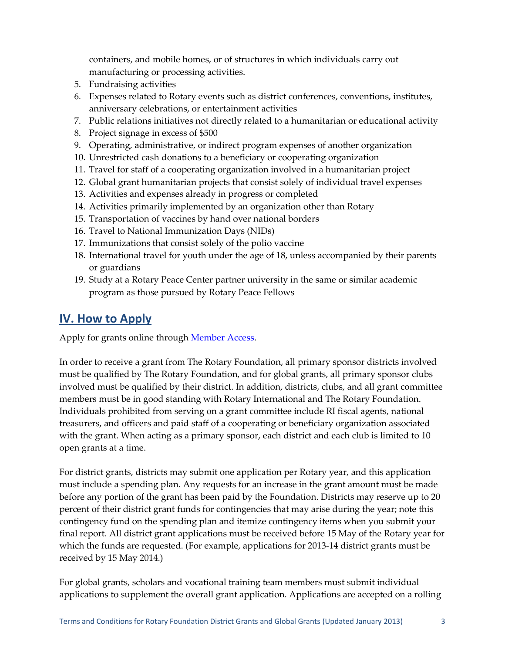containers, and mobile homes, or of structures in which individuals carry out manufacturing or processing activities.

- 5. Fundraising activities
- 6. Expenses related to Rotary events such as district conferences, conventions, institutes, anniversary celebrations, or entertainment activities
- 7. Public relations initiatives not directly related to a humanitarian or educational activity
- 8. Project signage in excess of \$500
- 9. Operating, administrative, or indirect program expenses of another organization
- 10. Unrestricted cash donations to a beneficiary or cooperating organization
- 11. Travel for staff of a cooperating organization involved in a humanitarian project
- 12. Global grant humanitarian projects that consist solely of individual travel expenses
- 13. Activities and expenses already in progress or completed
- 14. Activities primarily implemented by an organization other than Rotary
- 15. Transportation of vaccines by hand over national borders
- 16. Travel to National Immunization Days (NIDs)
- 17. Immunizations that consist solely of the polio vaccine
- 18. International travel for youth under the age of 18, unless accompanied by their parents or guardians
- 19. Study at a Rotary Peace Center partner university in the same or similar academic program as those pursued by Rotary Peace Fellows

### **IV. How to Apply**

Apply for grants online through [Member Access.](http://map.rotary.org/en/selfservice/Pages/login.aspx)

In order to receive a grant from The Rotary Foundation, all primary sponsor districts involved must be qualified by The Rotary Foundation, and for global grants, all primary sponsor clubs involved must be qualified by their district. In addition, districts, clubs, and all grant committee members must be in good standing with Rotary International and The Rotary Foundation. Individuals prohibited from serving on a grant committee include RI fiscal agents, national treasurers, and officers and paid staff of a cooperating or beneficiary organization associated with the grant. When acting as a primary sponsor, each district and each club is limited to 10 open grants at a time.

For district grants, districts may submit one application per Rotary year, and this application must include a spending plan. Any requests for an increase in the grant amount must be made before any portion of the grant has been paid by the Foundation. Districts may reserve up to 20 percent of their district grant funds for contingencies that may arise during the year; note this contingency fund on the spending plan and itemize contingency items when you submit your final report. All district grant applications must be received before 15 May of the Rotary year for which the funds are requested. (For example, applications for 2013-14 district grants must be received by 15 May 2014.)

For global grants, scholars and vocational training team members must submit individual applications to supplement the overall grant application. Applications are accepted on a rolling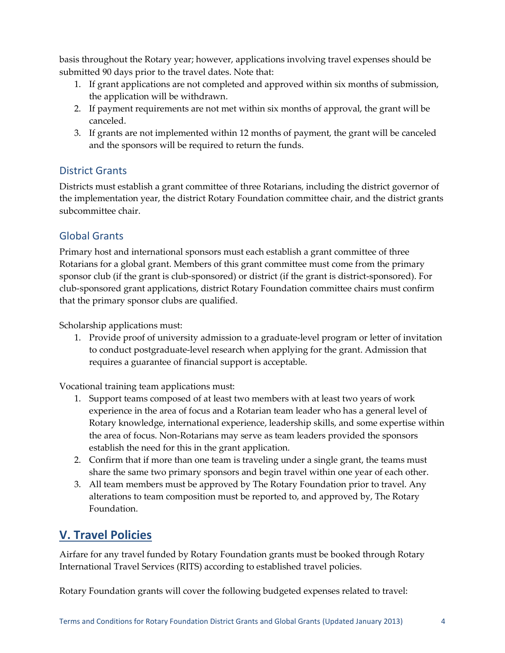basis throughout the Rotary year; however, applications involving travel expenses should be submitted 90 days prior to the travel dates. Note that:

- 1. If grant applications are not completed and approved within six months of submission, the application will be withdrawn.
- 2. If payment requirements are not met within six months of approval, the grant will be canceled.
- 3. If grants are not implemented within 12 months of payment, the grant will be canceled and the sponsors will be required to return the funds.

#### District Grants

Districts must establish a grant committee of three Rotarians, including the district governor of the implementation year, the district Rotary Foundation committee chair, and the district grants subcommittee chair.

### Global Grants

Primary host and international sponsors must each establish a grant committee of three Rotarians for a global grant. Members of this grant committee must come from the primary sponsor club (if the grant is club-sponsored) or district (if the grant is district-sponsored). For club-sponsored grant applications, district Rotary Foundation committee chairs must confirm that the primary sponsor clubs are qualified.

Scholarship applications must:

1. Provide proof of university admission to a graduate-level program or letter of invitation to conduct postgraduate-level research when applying for the grant. Admission that requires a guarantee of financial support is acceptable.

Vocational training team applications must:

- 1. Support teams composed of at least two members with at least two years of work experience in the area of focus and a Rotarian team leader who has a general level of Rotary knowledge, international experience, leadership skills, and some expertise within the area of focus. Non-Rotarians may serve as team leaders provided the sponsors establish the need for this in the grant application.
- 2. Confirm that if more than one team is traveling under a single grant, the teams must share the same two primary sponsors and begin travel within one year of each other.
- 3. All team members must be approved by The Rotary Foundation prior to travel. Any alterations to team composition must be reported to, and approved by, The Rotary Foundation.

# **V. Travel Policies**

Airfare for any travel funded by Rotary Foundation grants must be booked through Rotary International Travel Services (RITS) according to established travel policies.

Rotary Foundation grants will cover the following budgeted expenses related to travel: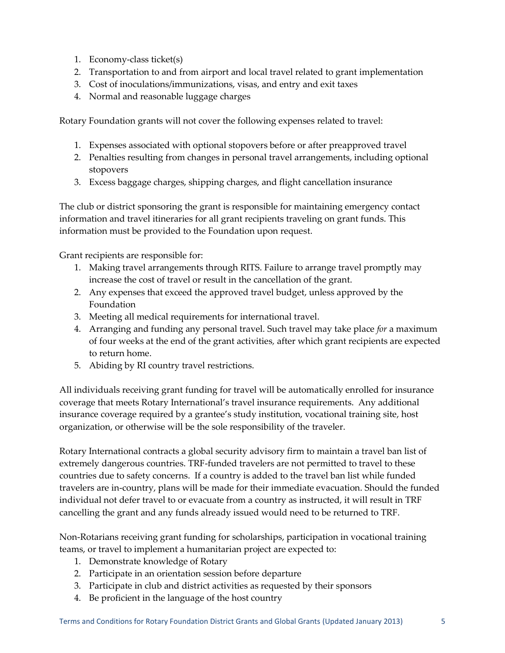- 1. Economy-class ticket(s)
- 2. Transportation to and from airport and local travel related to grant implementation
- 3. Cost of inoculations/immunizations, visas, and entry and exit taxes
- 4. Normal and reasonable luggage charges

Rotary Foundation grants will not cover the following expenses related to travel:

- 1. Expenses associated with optional stopovers before or after preapproved travel
- 2. Penalties resulting from changes in personal travel arrangements, including optional stopovers
- 3. Excess baggage charges, shipping charges, and flight cancellation insurance

The club or district sponsoring the grant is responsible for maintaining emergency contact information and travel itineraries for all grant recipients traveling on grant funds. This information must be provided to the Foundation upon request.

Grant recipients are responsible for:

- 1. Making travel arrangements through RITS. Failure to arrange travel promptly may increase the cost of travel or result in the cancellation of the grant.
- 2. Any expenses that exceed the approved travel budget, unless approved by the Foundation
- 3. Meeting all medical requirements for international travel.
- 4. Arranging and funding any personal travel. Such travel may take place *for* a maximum of four weeks at the end of the grant activities*,* after which grant recipients are expected to return home.
- 5. Abiding by RI country travel restrictions.

All individuals receiving grant funding for travel will be automatically enrolled for insurance coverage that meets Rotary International's travel insurance requirements. Any additional insurance coverage required by a grantee's study institution, vocational training site, host organization, or otherwise will be the sole responsibility of the traveler.

Rotary International contracts a global security advisory firm to maintain a travel ban list of extremely dangerous countries. TRF-funded travelers are not permitted to travel to these countries due to safety concerns. If a country is added to the travel ban list while funded travelers are in-country, plans will be made for their immediate evacuation. Should the funded individual not defer travel to or evacuate from a country as instructed, it will result in TRF cancelling the grant and any funds already issued would need to be returned to TRF.

Non-Rotarians receiving grant funding for scholarships, participation in vocational training teams, or travel to implement a humanitarian project are expected to:

- 1. Demonstrate knowledge of Rotary
- 2. Participate in an orientation session before departure
- 3. Participate in club and district activities as requested by their sponsors
- 4. Be proficient in the language of the host country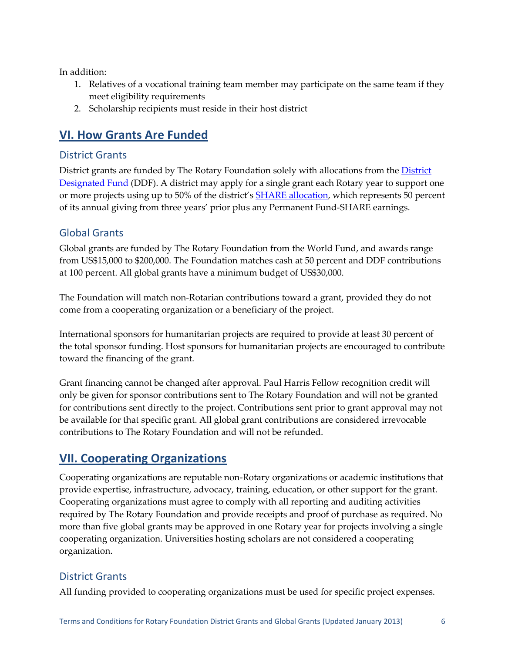In addition:

- 1. Relatives of a vocational training team member may participate on the same team if they meet eligibility requirements
- 2. Scholarship recipients must reside in their host district

# **VI. How Grants Are Funded**

#### District Grants

District grants are funded by The Rotary Foundation solely with allocations from the District [Designated Fund](http://www.rotary.org/en/Contribute/Funds/SHARE/Pages/ridefault.aspx) (DDF). A district may apply for a single grant each Rotary year to support one or more projects using up to 50% of the district's [SHARE allocation,](http://www.rotary.org/en/Contribute/Funds/SHARE/Pages/ridefault.aspx) which represents 50 percent of its annual giving from three years' prior plus any Permanent Fund-SHARE earnings.

#### Global Grants

Global grants are funded by The Rotary Foundation from the World Fund, and awards range from US\$15,000 to \$200,000. The Foundation matches cash at 50 percent and DDF contributions at 100 percent. All global grants have a minimum budget of US\$30,000.

The Foundation will match non-Rotarian contributions toward a grant, provided they do not come from a cooperating organization or a beneficiary of the project.

International sponsors for humanitarian projects are required to provide at least 30 percent of the total sponsor funding. Host sponsors for humanitarian projects are encouraged to contribute toward the financing of the grant.

Grant financing cannot be changed after approval. Paul Harris Fellow recognition credit will only be given for sponsor contributions sent to The Rotary Foundation and will not be granted for contributions sent directly to the project. Contributions sent prior to grant approval may not be available for that specific grant. All global grant contributions are considered irrevocable contributions to The Rotary Foundation and will not be refunded.

# **VII. Cooperating Organizations**

Cooperating organizations are reputable non-Rotary organizations or academic institutions that provide expertise, infrastructure, advocacy, training, education, or other support for the grant. Cooperating organizations must agree to comply with all reporting and auditing activities required by The Rotary Foundation and provide receipts and proof of purchase as required. No more than five global grants may be approved in one Rotary year for projects involving a single cooperating organization. Universities hosting scholars are not considered a cooperating organization.

#### District Grants

All funding provided to cooperating organizations must be used for specific project expenses.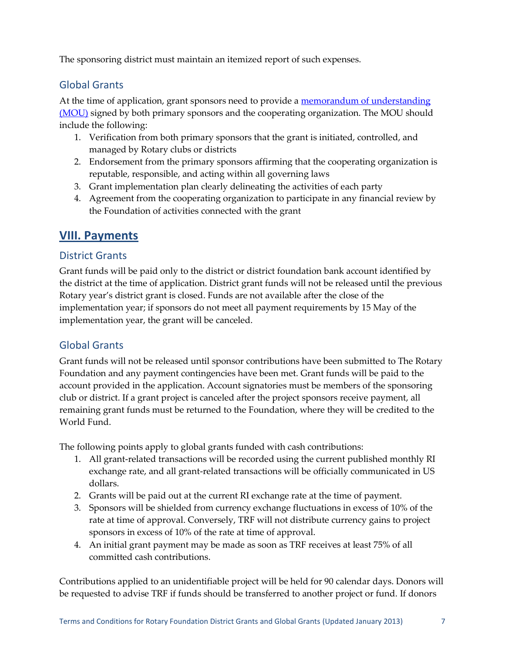The sponsoring district must maintain an itemized report of such expenses.

#### Global Grants

At the time of application, grant sponsors need to provide a memorandum of understanding [\(MOU\)](http://www.rotary.org/RIdocuments/en_doc/fv_cooperating_organization_mou_en.doc) signed by both primary sponsors and the cooperating organization. The MOU should include the following:

- 1. Verification from both primary sponsors that the grant is initiated, controlled, and managed by Rotary clubs or districts
- 2. Endorsement from the primary sponsors affirming that the cooperating organization is reputable, responsible, and acting within all governing laws
- 3. Grant implementation plan clearly delineating the activities of each party
- 4. Agreement from the cooperating organization to participate in any financial review by the Foundation of activities connected with the grant

### **VIII. Payments**

#### District Grants

Grant funds will be paid only to the district or district foundation bank account identified by the district at the time of application. District grant funds will not be released until the previous Rotary year's district grant is closed. Funds are not available after the close of the implementation year; if sponsors do not meet all payment requirements by 15 May of the implementation year, the grant will be canceled.

#### Global Grants

Grant funds will not be released until sponsor contributions have been submitted to The Rotary Foundation and any payment contingencies have been met. Grant funds will be paid to the account provided in the application. Account signatories must be members of the sponsoring club or district. If a grant project is canceled after the project sponsors receive payment, all remaining grant funds must be returned to the Foundation, where they will be credited to the World Fund.

The following points apply to global grants funded with cash contributions:

- 1. All grant-related transactions will be recorded using the current published monthly RI exchange rate, and all grant-related transactions will be officially communicated in US dollars.
- 2. Grants will be paid out at the current RI exchange rate at the time of payment.
- 3. Sponsors will be shielded from currency exchange fluctuations in excess of 10% of the rate at time of approval. Conversely, TRF will not distribute currency gains to project sponsors in excess of 10% of the rate at time of approval.
- 4. An initial grant payment may be made as soon as TRF receives at least 75% of all committed cash contributions.

Contributions applied to an unidentifiable project will be held for 90 calendar days. Donors will be requested to advise TRF if funds should be transferred to another project or fund. If donors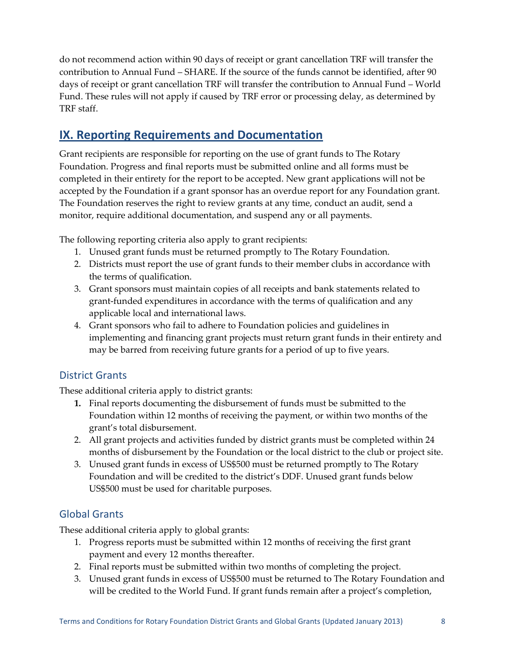do not recommend action within 90 days of receipt or grant cancellation TRF will transfer the contribution to Annual Fund – SHARE. If the source of the funds cannot be identified, after 90 days of receipt or grant cancellation TRF will transfer the contribution to Annual Fund – World Fund. These rules will not apply if caused by TRF error or processing delay, as determined by TRF staff.

### **IX. Reporting Requirements and Documentation**

Grant recipients are responsible for reporting on the use of grant funds to The Rotary Foundation. Progress and final reports must be submitted online and all forms must be completed in their entirety for the report to be accepted. New grant applications will not be accepted by the Foundation if a grant sponsor has an overdue report for any Foundation grant. The Foundation reserves the right to review grants at any time, conduct an audit, send a monitor, require additional documentation, and suspend any or all payments.

The following reporting criteria also apply to grant recipients:

- 1. Unused grant funds must be returned promptly to The Rotary Foundation.
- 2. Districts must report the use of grant funds to their member clubs in accordance with the terms of qualification.
- 3. Grant sponsors must maintain copies of all receipts and bank statements related to grant-funded expenditures in accordance with the terms of qualification and any applicable local and international laws.
- 4. Grant sponsors who fail to adhere to Foundation policies and guidelines in implementing and financing grant projects must return grant funds in their entirety and may be barred from receiving future grants for a period of up to five years.

### District Grants

These additional criteria apply to district grants:

- **1.** Final reports documenting the disbursement of funds must be submitted to the Foundation within 12 months of receiving the payment, or within two months of the grant's total disbursement.
- 2. All grant projects and activities funded by district grants must be completed within 24 months of disbursement by the Foundation or the local district to the club or project site.
- 3. Unused grant funds in excess of US\$500 must be returned promptly to The Rotary Foundation and will be credited to the district's DDF. Unused grant funds below US\$500 must be used for charitable purposes.

#### Global Grants

These additional criteria apply to global grants:

- 1. Progress reports must be submitted within 12 months of receiving the first grant payment and every 12 months thereafter.
- 2. Final reports must be submitted within two months of completing the project.
- 3. Unused grant funds in excess of US\$500 must be returned to The Rotary Foundation and will be credited to the World Fund. If grant funds remain after a project's completion,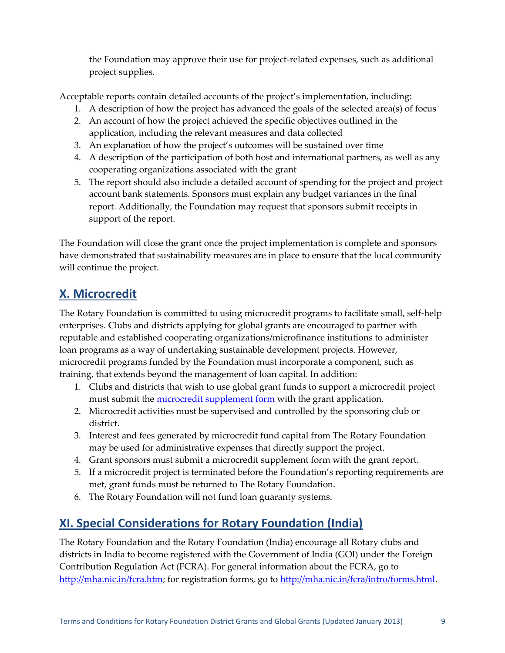the Foundation may approve their use for project-related expenses, such as additional project supplies.

Acceptable reports contain detailed accounts of the project's implementation, including:

- 1. A description of how the project has advanced the goals of the selected area(s) of focus
- 2. An account of how the project achieved the specific objectives outlined in the application, including the relevant measures and data collected
- 3. An explanation of how the project's outcomes will be sustained over time
- 4. A description of the participation of both host and international partners, as well as any cooperating organizations associated with the grant
- 5. The report should also include a detailed account of spending for the project and project account bank statements. Sponsors must explain any budget variances in the final report. Additionally, the Foundation may request that sponsors submit receipts in support of the report.

The Foundation will close the grant once the project implementation is complete and sponsors have demonstrated that sustainability measures are in place to ensure that the local community will continue the project.

# **X. Microcredit**

The Rotary Foundation is committed to using microcredit programs to facilitate small, self-help enterprises. Clubs and districts applying for global grants are encouraged to partner with reputable and established cooperating organizations/microfinance institutions to administer loan programs as a way of undertaking sustainable development projects. However, microcredit programs funded by the Foundation must incorporate a component, such as training, that extends beyond the management of loan capital. In addition:

- 1. Clubs and districts that wish to use global grant funds to support a microcredit project must submit the [microcredit supplement form](http://www.rotary.org/RIdocuments/en_pdf/grant_management_manual_en.zip) with the grant application.
- 2. Microcredit activities must be supervised and controlled by the sponsoring club or district.
- 3. Interest and fees generated by microcredit fund capital from The Rotary Foundation may be used for administrative expenses that directly support the project.
- 4. Grant sponsors must submit a microcredit supplement form with the grant report.
- 5. If a microcredit project is terminated before the Foundation's reporting requirements are met, grant funds must be returned to The Rotary Foundation.
- 6. The Rotary Foundation will not fund loan guaranty systems.

# **XI. Special Considerations for Rotary Foundation (India)**

The Rotary Foundation and the Rotary Foundation (India) encourage all Rotary clubs and districts in India to become registered with the Government of India (GOI) under the Foreign Contribution Regulation Act (FCRA). For general information about the FCRA, go to [http://mha.nic.in/fcra.htm;](http://mha.nic.in/fcra.htm) for registration forms, go to [http://mha.nic.in/fcra/intro/forms.html.](http://mha.nic.in/fcra/intro/forms.html)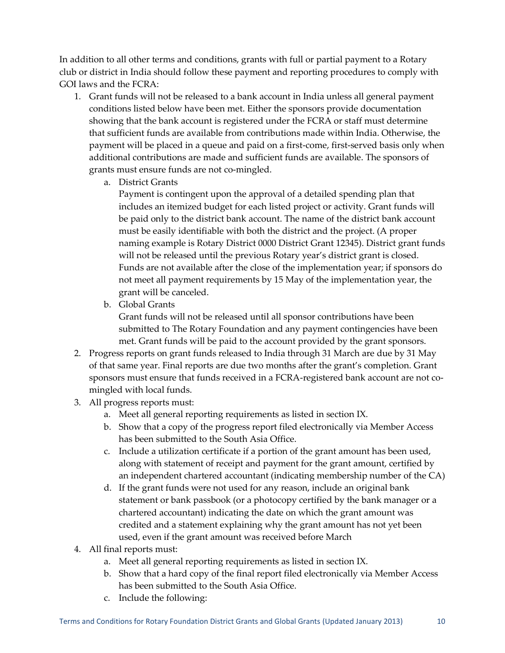In addition to all other terms and conditions, grants with full or partial payment to a Rotary club or district in India should follow these payment and reporting procedures to comply with GOI laws and the FCRA:

- 1. Grant funds will not be released to a bank account in India unless all general payment conditions listed below have been met. Either the sponsors provide documentation showing that the bank account is registered under the FCRA or staff must determine that sufficient funds are available from contributions made within India. Otherwise, the payment will be placed in a queue and paid on a first-come, first-served basis only when additional contributions are made and sufficient funds are available. The sponsors of grants must ensure funds are not co-mingled.
	- a. District Grants

Payment is contingent upon the approval of a detailed spending plan that includes an itemized budget for each listed project or activity. Grant funds will be paid only to the district bank account. The name of the district bank account must be easily identifiable with both the district and the project. (A proper naming example is Rotary District 0000 District Grant 12345). District grant funds will not be released until the previous Rotary year's district grant is closed. Funds are not available after the close of the implementation year; if sponsors do not meet all payment requirements by 15 May of the implementation year, the grant will be canceled.

b. Global Grants

Grant funds will not be released until all sponsor contributions have been submitted to The Rotary Foundation and any payment contingencies have been met. Grant funds will be paid to the account provided by the grant sponsors.

- 2. Progress reports on grant funds released to India through 31 March are due by 31 May of that same year. Final reports are due two months after the grant's completion. Grant sponsors must ensure that funds received in a FCRA-registered bank account are not comingled with local funds.
- 3. All progress reports must:
	- a. Meet all general reporting requirements as listed in section IX.
	- b. Show that a copy of the progress report filed electronically via Member Access has been submitted to the South Asia Office.
	- c. Include a utilization certificate if a portion of the grant amount has been used, along with statement of receipt and payment for the grant amount, certified by an independent chartered accountant (indicating membership number of the CA)
	- d. If the grant funds were not used for any reason, include an original bank statement or bank passbook (or a photocopy certified by the bank manager or a chartered accountant) indicating the date on which the grant amount was credited and a statement explaining why the grant amount has not yet been used, even if the grant amount was received before March
- 4. All final reports must:
	- a. Meet all general reporting requirements as listed in section IX.
	- b. Show that a hard copy of the final report filed electronically via Member Access has been submitted to the South Asia Office.
	- c. Include the following: